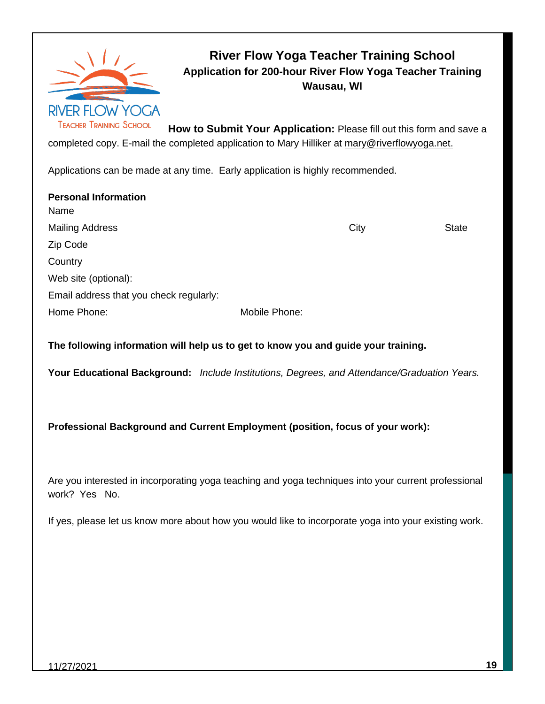

### **River Flow Yoga Teacher Training School Application for 200-hour River Flow Yoga Teacher Training Wausau, WI**

**How to Submit Your Application:** Please fill out this form and save a completed copy. E-mail the completed application to Mary Hilliker at [mary@riverflowyoga.net.](mailto:mary@riverflowyoga.net)

Applications can be made at any time. Early application is highly recommended.

| <b>Personal Information</b>             |               |      |              |
|-----------------------------------------|---------------|------|--------------|
| Name                                    |               |      |              |
| <b>Mailing Address</b>                  |               | City | <b>State</b> |
| Zip Code                                |               |      |              |
| Country                                 |               |      |              |
| Web site (optional):                    |               |      |              |
| Email address that you check regularly: |               |      |              |
| Home Phone:                             | Mobile Phone: |      |              |

**The following information will help us to get to know you and guide your training.**

**Your Educational Background:** *Include Institutions, Degrees, and Attendance/Graduation Years.*

**Professional Background and Current Employment (position, focus of your work):**

Are you interested in incorporating yoga teaching and yoga techniques into your current professional work? Yes No.

If yes, please let us know more about how you would like to incorporate yoga into your existing work.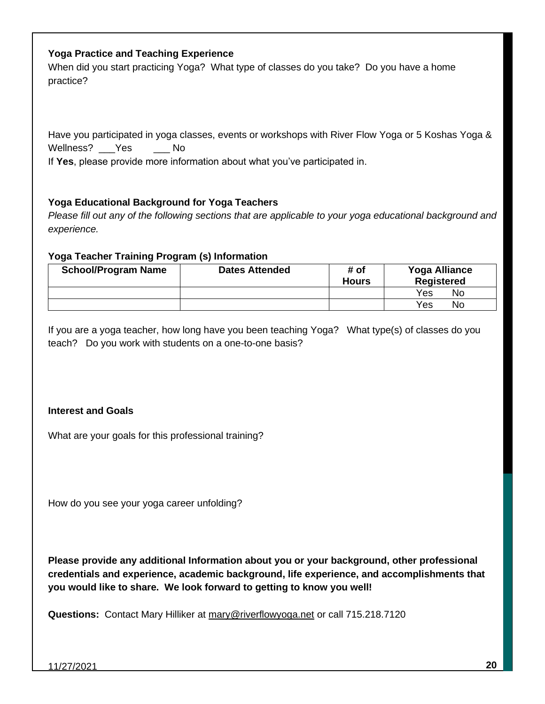#### **Yoga Practice and Teaching Experience**

When did you start practicing Yoga? What type of classes do you take? Do you have a home practice?

Have you participated in yoga classes, events or workshops with River Flow Yoga or 5 Koshas Yoga & Wellness? Yes No

If **Yes**, please provide more information about what you've participated in.

#### **Yoga Educational Background for Yoga Teachers**

*Please fill out any of the following sections that are applicable to your yoga educational background and experience.*

#### **Yoga Teacher Training Program (s) Information**

| <b>School/Program Name</b> | <b>Dates Attended</b> | # of<br><b>Hours</b> | <b>Yoga Alliance</b><br><b>Registered</b> |
|----------------------------|-----------------------|----------------------|-------------------------------------------|
|                            |                       |                      | Yes<br>No                                 |
|                            |                       |                      | Yes<br>No                                 |

If you are a yoga teacher, how long have you been teaching Yoga? What type(s) of classes do you teach? Do you work with students on a one-to-one basis?

#### **Interest and Goals**

What are your goals for this professional training?

How do you see your yoga career unfolding?

**Please provide any additional Information about you or your background, other professional credentials and experience, academic background, life experience, and accomplishments that you would like to share. We look forward to getting to know you well!**

**Questions:** Contact Mary Hilliker at [mary@riverflowyoga.net](mailto:mary@riverflowyoga.net) or call 715.218.7120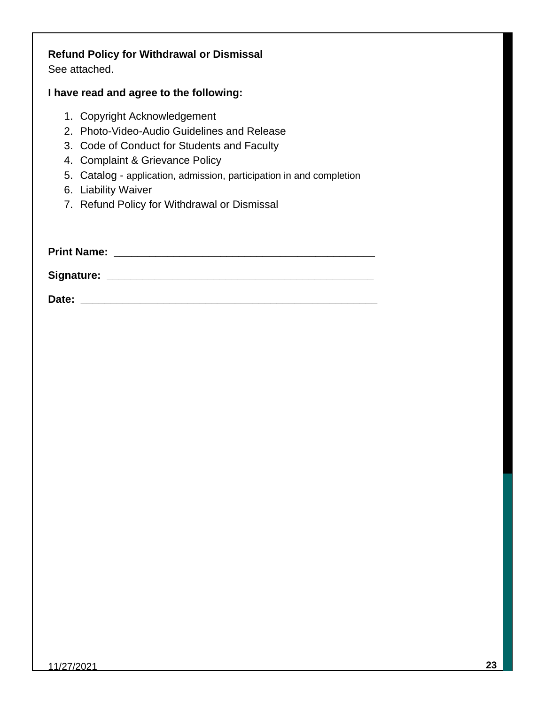## **Refund Policy for Withdrawal or Dismissal**

See attached.

#### **I have read and agree to the following:**

- 1. Copyright Acknowledgement
- 2. Photo-Video-Audio Guidelines and Release
- 3. Code of Conduct for Students and Faculty
- 4. Complaint & Grievance Policy
- 5. Catalog application, admission, participation in and completion
- 6. Liability Waiver
- 7. Refund Policy for Withdrawal or Dismissal

| <b>Print Name:</b> |  |  |
|--------------------|--|--|
|                    |  |  |
| <b>Signature:</b>  |  |  |
|                    |  |  |

**Date: \_\_\_\_\_\_\_\_\_\_\_\_\_\_\_\_\_\_\_\_\_\_\_\_\_\_\_\_\_\_\_\_\_\_\_\_\_\_\_\_\_\_\_\_\_\_\_\_\_\_**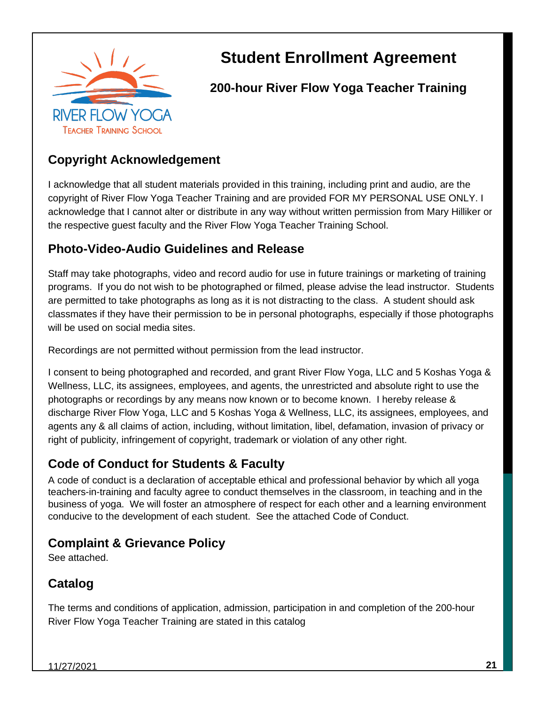

# **Student Enrollment Agreement**

**200-hour River Flow Yoga Teacher Training** 

### **Copyright Acknowledgement**

I acknowledge that all student materials provided in this training, including print and audio, are the copyright of River Flow Yoga Teacher Training and are provided FOR MY PERSONAL USE ONLY. I acknowledge that I cannot alter or distribute in any way without written permission from Mary Hilliker or the respective guest faculty and the River Flow Yoga Teacher Training School.

### **Photo-Video-Audio Guidelines and Release**

Staff may take photographs, video and record audio for use in future trainings or marketing of training programs. If you do not wish to be photographed or filmed, please advise the lead instructor. Students are permitted to take photographs as long as it is not distracting to the class. A student should ask classmates if they have their permission to be in personal photographs, especially if those photographs will be used on social media sites.

Recordings are not permitted without permission from the lead instructor.

I consent to being photographed and recorded, and grant River Flow Yoga, LLC and 5 Koshas Yoga & Wellness, LLC, its assignees, employees, and agents, the unrestricted and absolute right to use the photographs or recordings by any means now known or to become known. I hereby release & discharge River Flow Yoga, LLC and 5 Koshas Yoga & Wellness, LLC, its assignees, employees, and agents any & all claims of action, including, without limitation, libel, defamation, invasion of privacy or right of publicity, infringement of copyright, trademark or violation of any other right.

### **Code of Conduct for Students & Faculty**

A code of conduct is a declaration of acceptable ethical and professional behavior by which all yoga teachers-in-training and faculty agree to conduct themselves in the classroom, in teaching and in the business of yoga. We will foster an atmosphere of respect for each other and a learning environment conducive to the development of each student. See the attached Code of Conduct.

### **Complaint & Grievance Policy**

See attached.

### **Catalog**

The terms and conditions of application, admission, participation in and completion of the 200-hour River Flow Yoga Teacher Training are stated in this catalog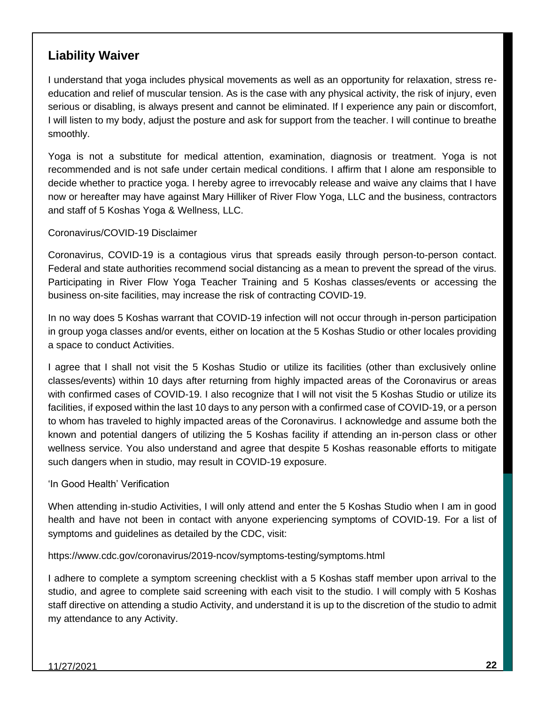### **Liability Waiver**

I understand that yoga includes physical movements as well as an opportunity for relaxation, stress reeducation and relief of muscular tension. As is the case with any physical activity, the risk of injury, even serious or disabling, is always present and cannot be eliminated. If I experience any pain or discomfort, I will listen to my body, adjust the posture and ask for support from the teacher. I will continue to breathe smoothly.

Yoga is not a substitute for medical attention, examination, diagnosis or treatment. Yoga is not recommended and is not safe under certain medical conditions. I affirm that I alone am responsible to decide whether to practice yoga. I hereby agree to irrevocably release and waive any claims that I have now or hereafter may have against Mary Hilliker of River Flow Yoga, LLC and the business, contractors and staff of 5 Koshas Yoga & Wellness, LLC.

Coronavirus/COVID-19 Disclaimer

Coronavirus, COVID-19 is a contagious virus that spreads easily through person-to-person contact. Federal and state authorities recommend social distancing as a mean to prevent the spread of the virus. Participating in River Flow Yoga Teacher Training and 5 Koshas classes/events or accessing the business on-site facilities, may increase the risk of contracting COVID-19.

In no way does 5 Koshas warrant that COVID-19 infection will not occur through in-person participation in group yoga classes and/or events, either on location at the 5 Koshas Studio or other locales providing a space to conduct Activities.

I agree that I shall not visit the 5 Koshas Studio or utilize its facilities (other than exclusively online classes/events) within 10 days after returning from highly impacted areas of the Coronavirus or areas with confirmed cases of COVID-19. I also recognize that I will not visit the 5 Koshas Studio or utilize its facilities, if exposed within the last 10 days to any person with a confirmed case of COVID-19, or a person to whom has traveled to highly impacted areas of the Coronavirus. I acknowledge and assume both the known and potential dangers of utilizing the 5 Koshas facility if attending an in-person class or other wellness service. You also understand and agree that despite 5 Koshas reasonable efforts to mitigate such dangers when in studio, may result in COVID-19 exposure.

'In Good Health' Verification

When attending in-studio Activities, I will only attend and enter the 5 Koshas Studio when I am in good health and have not been in contact with anyone experiencing symptoms of COVID-19. For a list of symptoms and guidelines as detailed by the CDC, visit:

https://www.cdc.gov/coronavirus/2019-ncov/symptoms-testing/symptoms.html

I adhere to complete a symptom screening checklist with a 5 Koshas staff member upon arrival to the studio, and agree to complete said screening with each visit to the studio. I will comply with 5 Koshas staff directive on attending a studio Activity, and understand it is up to the discretion of the studio to admit my attendance to any Activity.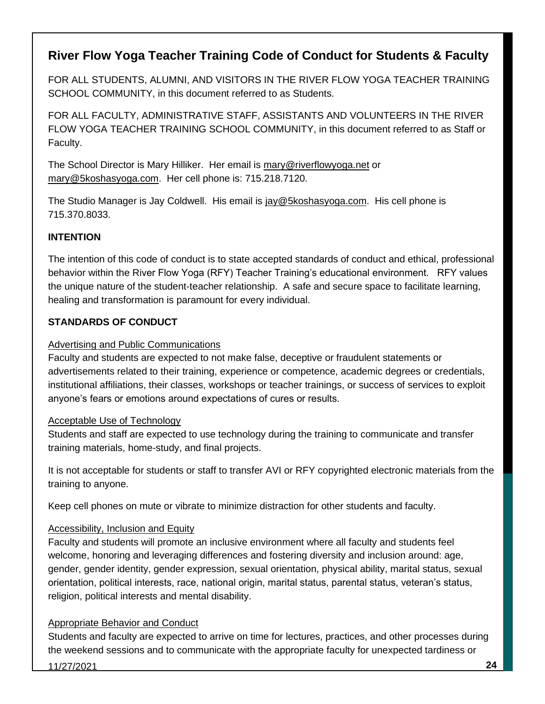### **River Flow Yoga Teacher Training Code of Conduct for Students & Faculty**

FOR ALL STUDENTS, ALUMNI, AND VISITORS IN THE RIVER FLOW YOGA TEACHER TRAINING SCHOOL COMMUNITY, in this document referred to as Students.

FOR ALL FACULTY, ADMINISTRATIVE STAFF, ASSISTANTS AND VOLUNTEERS IN THE RIVER FLOW YOGA TEACHER TRAINING SCHOOL COMMUNITY, in this document referred to as Staff or Faculty.

The School Director is Mary Hilliker. Her email is [mary@riverflowyoga.net](mailto:mary@riverflowyoga.net) or [mary@5koshasyoga.com.](mailto:mary@5koshasyoga.com) Her cell phone is: 715.218.7120.

The Studio Manager is Jay Coldwell. His email is [jay@5koshasyoga.com.](mailto:jay@5koshasyoga.com) His cell phone is 715.370.8033.

#### **INTENTION**

The intention of this code of conduct is to state accepted standards of conduct and ethical, professional behavior within the River Flow Yoga (RFY) Teacher Training's educational environment. RFY values the unique nature of the student-teacher relationship. A safe and secure space to facilitate learning, healing and transformation is paramount for every individual.

#### **STANDARDS OF CONDUCT**

#### Advertising and Public Communications

Faculty and students are expected to not make false, deceptive or fraudulent statements or advertisements related to their training, experience or competence, academic degrees or credentials, institutional affiliations, their classes, workshops or teacher trainings, or success of services to exploit anyone's fears or emotions around expectations of cures or results.

#### Acceptable Use of Technology

Students and staff are expected to use technology during the training to communicate and transfer training materials, home-study, and final projects.

It is not acceptable for students or staff to transfer AVI or RFY copyrighted electronic materials from the training to anyone.

Keep cell phones on mute or vibrate to minimize distraction for other students and faculty.

#### Accessibility, Inclusion and Equity

Faculty and students will promote an inclusive environment where all faculty and students feel welcome, honoring and leveraging differences and fostering diversity and inclusion around: age, gender, gender identity, gender expression, sexual orientation, physical ability, marital status, sexual orientation, political interests, race, national origin, marital status, parental status, veteran's status, religion, political interests and mental disability.

#### Appropriate Behavior and Conduct

Students and faculty are expected to arrive on time for lectures, practices, and other processes during the weekend sessions and to communicate with the appropriate faculty for unexpected tardiness or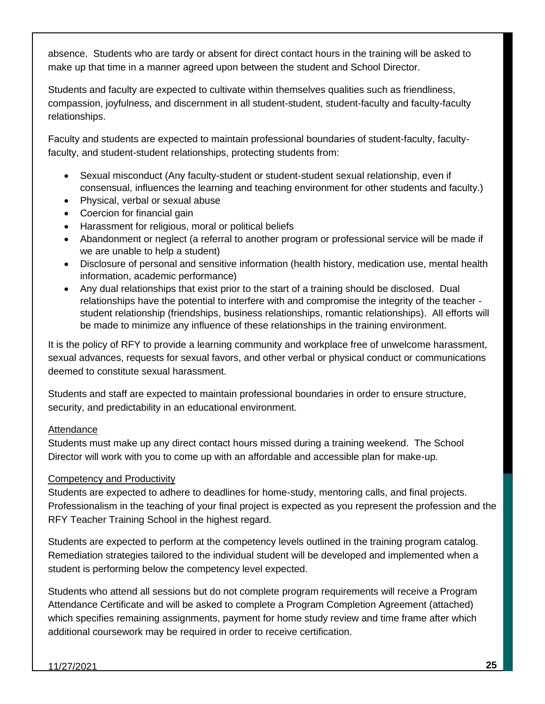absence. Students who are tardy or absent for direct contact hours in the training will be asked to make up that time in a manner agreed upon between the student and School Director.

Students and faculty are expected to cultivate within themselves qualities such as friendliness, compassion, joyfulness, and discernment in all student-student, student-faculty and faculty-faculty relationships.

Faculty and students are expected to maintain professional boundaries of student-faculty, facultyfaculty, and student-student relationships, protecting students from:

- Sexual misconduct (Any faculty-student or student-student sexual relationship, even if consensual, influences the learning and teaching environment for other students and faculty.)
- Physical, verbal or sexual abuse
- Coercion for financial gain
- Harassment for religious, moral or political beliefs
- Abandonment or neglect (a referral to another program or professional service will be made if we are unable to help a student)
- Disclosure of personal and sensitive information (health history, medication use, mental health information, academic performance)
- Any dual relationships that exist prior to the start of a training should be disclosed. Dual relationships have the potential to interfere with and compromise the integrity of the teacher student relationship (friendships, business relationships, romantic relationships). All efforts will be made to minimize any influence of these relationships in the training environment.

It is the policy of RFY to provide a learning community and workplace free of unwelcome harassment, sexual advances, requests for sexual favors, and other verbal or physical conduct or communications deemed to constitute sexual harassment.

Students and staff are expected to maintain professional boundaries in order to ensure structure, security, and predictability in an educational environment.

#### Attendance

Students must make up any direct contact hours missed during a training weekend. The School Director will work with you to come up with an affordable and accessible plan for make-up.

#### Competency and Productivity

Students are expected to adhere to deadlines for home-study, mentoring calls, and final projects. Professionalism in the teaching of your final project is expected as you represent the profession and the RFY Teacher Training School in the highest regard.

Students are expected to perform at the competency levels outlined in the training program catalog. Remediation strategies tailored to the individual student will be developed and implemented when a student is performing below the competency level expected.

Students who attend all sessions but do not complete program requirements will receive a Program Attendance Certificate and will be asked to complete a Program Completion Agreement (attached) which specifies remaining assignments, payment for home study review and time frame after which additional coursework may be required in order to receive certification.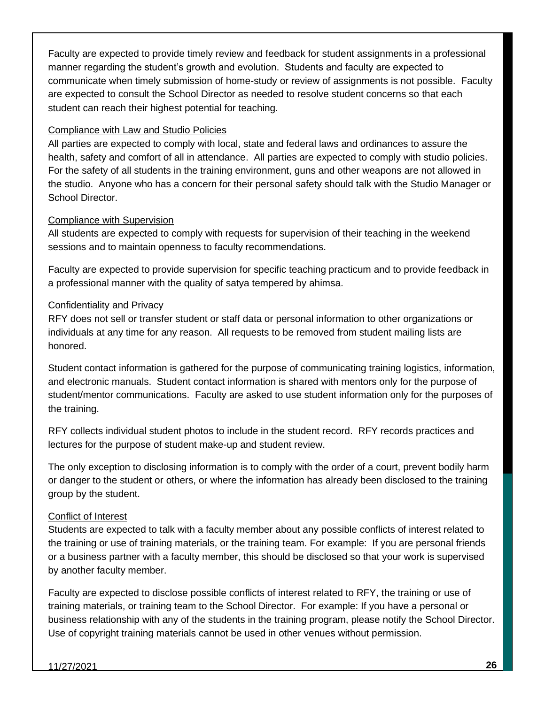Faculty are expected to provide timely review and feedback for student assignments in a professional manner regarding the student's growth and evolution. Students and faculty are expected to communicate when timely submission of home-study or review of assignments is not possible. Faculty are expected to consult the School Director as needed to resolve student concerns so that each student can reach their highest potential for teaching.

#### Compliance with Law and Studio Policies

All parties are expected to comply with local, state and federal laws and ordinances to assure the health, safety and comfort of all in attendance. All parties are expected to comply with studio policies. For the safety of all students in the training environment, guns and other weapons are not allowed in the studio. Anyone who has a concern for their personal safety should talk with the Studio Manager or School Director.

#### Compliance with Supervision

All students are expected to comply with requests for supervision of their teaching in the weekend sessions and to maintain openness to faculty recommendations.

Faculty are expected to provide supervision for specific teaching practicum and to provide feedback in a professional manner with the quality of satya tempered by ahimsa.

#### Confidentiality and Privacy

RFY does not sell or transfer student or staff data or personal information to other organizations or individuals at any time for any reason. All requests to be removed from student mailing lists are honored.

Student contact information is gathered for the purpose of communicating training logistics, information, and electronic manuals. Student contact information is shared with mentors only for the purpose of student/mentor communications. Faculty are asked to use student information only for the purposes of the training.

RFY collects individual student photos to include in the student record. RFY records practices and lectures for the purpose of student make-up and student review.

The only exception to disclosing information is to comply with the order of a court, prevent bodily harm or danger to the student or others, or where the information has already been disclosed to the training group by the student.

#### Conflict of Interest

Students are expected to talk with a faculty member about any possible conflicts of interest related to the training or use of training materials, or the training team. For example: If you are personal friends or a business partner with a faculty member, this should be disclosed so that your work is supervised by another faculty member.

Faculty are expected to disclose possible conflicts of interest related to RFY, the training or use of training materials, or training team to the School Director. For example: If you have a personal or business relationship with any of the students in the training program, please notify the School Director. Use of copyright training materials cannot be used in other venues without permission.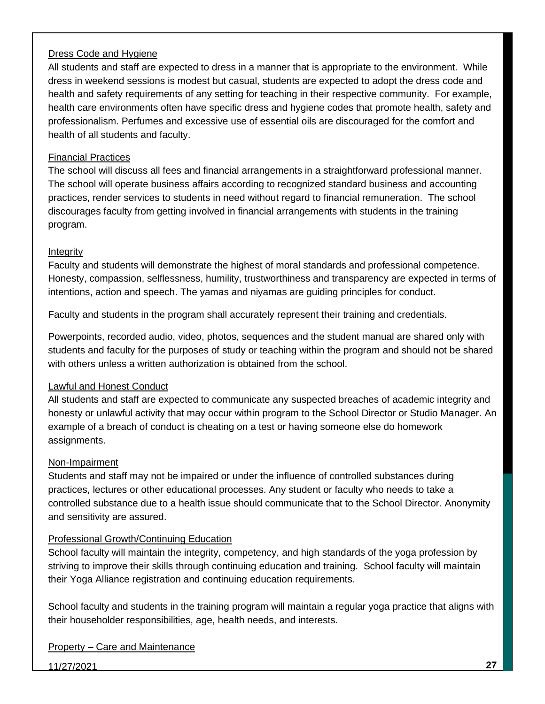#### Dress Code and Hygiene

All students and staff are expected to dress in a manner that is appropriate to the environment. While dress in weekend sessions is modest but casual, students are expected to adopt the dress code and health and safety requirements of any setting for teaching in their respective community. For example, health care environments often have specific dress and hygiene codes that promote health, safety and professionalism. Perfumes and excessive use of essential oils are discouraged for the comfort and health of all students and faculty.

#### Financial Practices

The school will discuss all fees and financial arrangements in a straightforward professional manner. The school will operate business affairs according to recognized standard business and accounting practices, render services to students in need without regard to financial remuneration. The school discourages faculty from getting involved in financial arrangements with students in the training program.

#### **Integrity**

Faculty and students will demonstrate the highest of moral standards and professional competence. Honesty, compassion, selflessness, humility, trustworthiness and transparency are expected in terms of intentions, action and speech. The yamas and niyamas are guiding principles for conduct.

Faculty and students in the program shall accurately represent their training and credentials.

Powerpoints, recorded audio, video, photos, sequences and the student manual are shared only with students and faculty for the purposes of study or teaching within the program and should not be shared with others unless a written authorization is obtained from the school.

#### Lawful and Honest Conduct

All students and staff are expected to communicate any suspected breaches of academic integrity and honesty or unlawful activity that may occur within program to the School Director or Studio Manager. An example of a breach of conduct is cheating on a test or having someone else do homework assignments.

#### Non-Impairment

Students and staff may not be impaired or under the influence of controlled substances during practices, lectures or other educational processes. Any student or faculty who needs to take a controlled substance due to a health issue should communicate that to the School Director. Anonymity and sensitivity are assured.

#### Professional Growth/Continuing Education

School faculty will maintain the integrity, competency, and high standards of the yoga profession by striving to improve their skills through continuing education and training. School faculty will maintain their Yoga Alliance registration and continuing education requirements.

School faculty and students in the training program will maintain a regular yoga practice that aligns with their householder responsibilities, age, health needs, and interests.

#### Property – Care and Maintenance

11/27/2021 **27**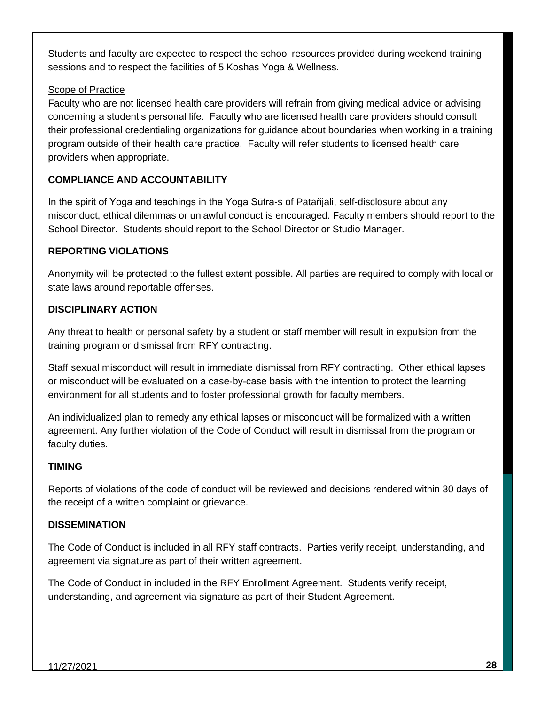Students and faculty are expected to respect the school resources provided during weekend training sessions and to respect the facilities of 5 Koshas Yoga & Wellness.

#### Scope of Practice

Faculty who are not licensed health care providers will refrain from giving medical advice or advising concerning a student's personal life. Faculty who are licensed health care providers should consult their professional credentialing organizations for guidance about boundaries when working in a training program outside of their health care practice. Faculty will refer students to licensed health care providers when appropriate.

#### **COMPLIANCE AND ACCOUNTABILITY**

In the spirit of Yoga and teachings in the Yoga Sūtra-s of Patañjali, self-disclosure about any misconduct, ethical dilemmas or unlawful conduct is encouraged. Faculty members should report to the School Director. Students should report to the School Director or Studio Manager.

#### **REPORTING VIOLATIONS**

Anonymity will be protected to the fullest extent possible. All parties are required to comply with local or state laws around reportable offenses.

#### **DISCIPLINARY ACTION**

Any threat to health or personal safety by a student or staff member will result in expulsion from the training program or dismissal from RFY contracting.

Staff sexual misconduct will result in immediate dismissal from RFY contracting. Other ethical lapses or misconduct will be evaluated on a case-by-case basis with the intention to protect the learning environment for all students and to foster professional growth for faculty members.

An individualized plan to remedy any ethical lapses or misconduct will be formalized with a written agreement. Any further violation of the Code of Conduct will result in dismissal from the program or faculty duties.

#### **TIMING**

Reports of violations of the code of conduct will be reviewed and decisions rendered within 30 days of the receipt of a written complaint or grievance.

#### **DISSEMINATION**

The Code of Conduct is included in all RFY staff contracts. Parties verify receipt, understanding, and agreement via signature as part of their written agreement.

The Code of Conduct in included in the RFY Enrollment Agreement. Students verify receipt, understanding, and agreement via signature as part of their Student Agreement.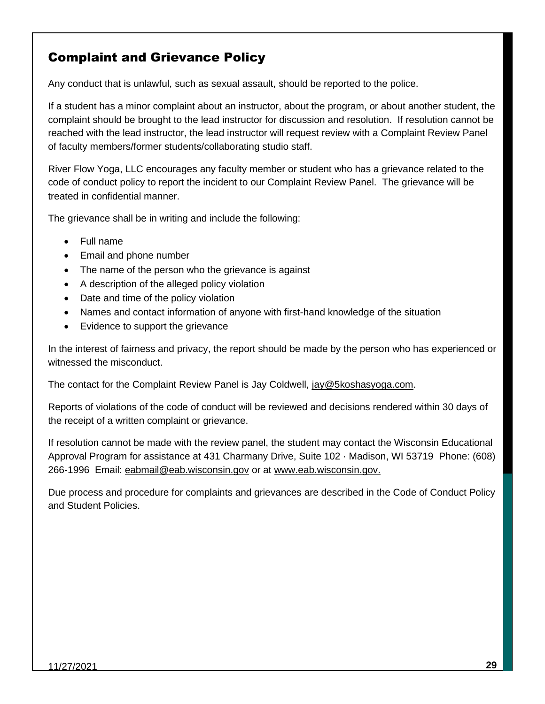### Complaint and Grievance Policy

Any conduct that is unlawful, such as sexual assault, should be reported to the police.

If a student has a minor complaint about an instructor, about the program, or about another student, the complaint should be brought to the lead instructor for discussion and resolution. If resolution cannot be reached with the lead instructor, the lead instructor will request review with a Complaint Review Panel of faculty members/former students/collaborating studio staff.

River Flow Yoga, LLC encourages any faculty member or student who has a grievance related to the code of conduct policy to report the incident to our Complaint Review Panel. The grievance will be treated in confidential manner.

The grievance shall be in writing and include the following:

- Full name
- Email and phone number
- The name of the person who the grievance is against
- A description of the alleged policy violation
- Date and time of the policy violation
- Names and contact information of anyone with first-hand knowledge of the situation
- Evidence to support the grievance

In the interest of fairness and privacy, the report should be made by the person who has experienced or witnessed the misconduct.

The contact for the Complaint Review Panel is Jay Coldwell, [jay@5koshasyoga.com.](mailto:jay@5koshasyoga.com)

Reports of violations of the code of conduct will be reviewed and decisions rendered within 30 days of the receipt of a written complaint or grievance.

If resolution cannot be made with the review panel, the student may contact the Wisconsin Educational Approval Program for assistance at 431 Charmany Drive, Suite 102 · Madison, WI 53719 Phone: (608) 266-1996 Email: [eabmail@eab.wisconsin.gov](mailto:eabmail@eab.wisconsin.gov) or at [www.eab.wisconsin.gov.](http://www.eab.wisconsin.gov/)

Due process and procedure for complaints and grievances are described in the Code of Conduct Policy and Student Policies.